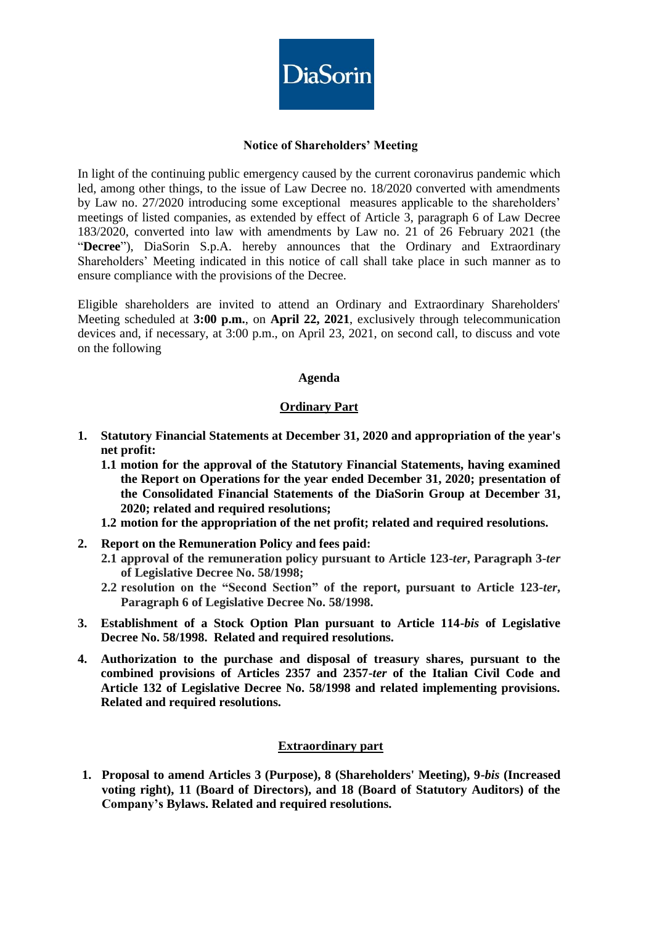

# **Notice of Shareholders' Meeting**

In light of the continuing public emergency caused by the current coronavirus pandemic which led, among other things, to the issue of Law Decree no. 18/2020 converted with amendments by Law no. 27/2020 introducing some exceptional measures applicable to the shareholders' meetings of listed companies, as extended by effect of Article 3, paragraph 6 of Law Decree 183/2020, converted into law with amendments by Law no. 21 of 26 February 2021 (the "**Decree**"), DiaSorin S.p.A. hereby announces that the Ordinary and Extraordinary Shareholders' Meeting indicated in this notice of call shall take place in such manner as to ensure compliance with the provisions of the Decree.

Eligible shareholders are invited to attend an Ordinary and Extraordinary Shareholders' Meeting scheduled at **3:00 p.m.**, on **April 22, 2021**, exclusively through telecommunication devices and, if necessary, at 3:00 p.m., on April 23, 2021, on second call, to discuss and vote on the following

## **Agenda**

## **Ordinary Part**

- **1. Statutory Financial Statements at December 31, 2020 and appropriation of the year's net profit:**
	- **1.1 motion for the approval of the Statutory Financial Statements, having examined the Report on Operations for the year ended December 31, 2020; presentation of the Consolidated Financial Statements of the DiaSorin Group at December 31, 2020; related and required resolutions;**
	- **1.2 motion for the appropriation of the net profit; related and required resolutions.**
- **2. Report on the Remuneration Policy and fees paid:**
	- **2.1 approval of the remuneration policy pursuant to Article 123-***ter***, Paragraph 3-***ter* **of Legislative Decree No. 58/1998;**
	- **2.2 resolution on the "Second Section" of the report, pursuant to Article 123-***ter***, Paragraph 6 of Legislative Decree No. 58/1998.**
- **3. Establishment of a Stock Option Plan pursuant to Article 114-***bis* **of Legislative Decree No. 58/1998. Related and required resolutions.**
- **4. Authorization to the purchase and disposal of treasury shares, pursuant to the combined provisions of Articles 2357 and 2357-***ter* **of the Italian Civil Code and Article 132 of Legislative Decree No. 58/1998 and related implementing provisions. Related and required resolutions.**

# **Extraordinary part**

**1. Proposal to amend Articles 3 (Purpose), 8 (Shareholders' Meeting), 9-***bis* **(Increased voting right), 11 (Board of Directors), and 18 (Board of Statutory Auditors) of the Company's Bylaws. Related and required resolutions.**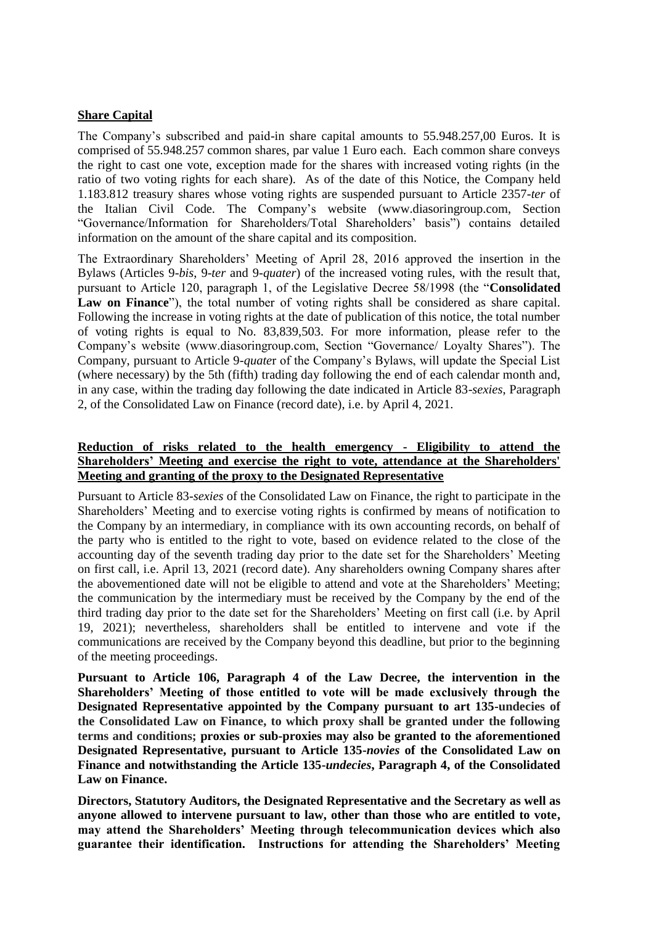### **Share Capital**

The Company's subscribed and paid-in share capital amounts to 55.948.257,00 Euros. It is comprised of 55.948.257 common shares, par value 1 Euro each. Each common share conveys the right to cast one vote, exception made for the shares with increased voting rights (in the ratio of two voting rights for each share). As of the date of this Notice, the Company held 1.183.812 treasury shares whose voting rights are suspended pursuant to Article 2357-*ter* of the Italian Civil Code. The Company's website (www.diasoringroup.com, Section "Governance/Information for Shareholders/Total Shareholders' basis") contains detailed information on the amount of the share capital and its composition.

The Extraordinary Shareholders' Meeting of April 28, 2016 approved the insertion in the Bylaws (Articles 9-*bis*, 9-*ter* and 9-*quater*) of the increased voting rules, with the result that, pursuant to Article 120, paragraph 1, of the Legislative Decree 58/1998 (the "**Consolidated Law on Finance**"), the total number of voting rights shall be considered as share capital. Following the increase in voting rights at the date of publication of this notice, the total number of voting rights is equal to No. 83,839,503. For more information, please refer to the Company's website (www.diasoringroup.com, Section "Governance/ Loyalty Shares"). The Company, pursuant to Article 9-*quate*r of the Company's Bylaws, will update the Special List (where necessary) by the 5th (fifth) trading day following the end of each calendar month and, in any case, within the trading day following the date indicated in Article 83-*sexies*, Paragraph 2, of the Consolidated Law on Finance (record date), i.e. by April 4, 2021.

# **Reduction of risks related to the health emergency - Eligibility to attend the Shareholders' Meeting and exercise the right to vote, attendance at the Shareholders' Meeting and granting of the proxy to the Designated Representative**

Pursuant to Article 83-*sexies* of the Consolidated Law on Finance, the right to participate in the Shareholders' Meeting and to exercise voting rights is confirmed by means of notification to the Company by an intermediary, in compliance with its own accounting records, on behalf of the party who is entitled to the right to vote, based on evidence related to the close of the accounting day of the seventh trading day prior to the date set for the Shareholders' Meeting on first call, i.e. April 13, 2021 (record date). Any shareholders owning Company shares after the abovementioned date will not be eligible to attend and vote at the Shareholders' Meeting; the communication by the intermediary must be received by the Company by the end of the third trading day prior to the date set for the Shareholders' Meeting on first call (i.e. by April 19, 2021); nevertheless, shareholders shall be entitled to intervene and vote if the communications are received by the Company beyond this deadline, but prior to the beginning of the meeting proceedings.

**Pursuant to Article 106, Paragraph 4 of the Law Decree, the intervention in the Shareholders' Meeting of those entitled to vote will be made exclusively through the Designated Representative appointed by the Company pursuant to art 135-undecies of the Consolidated Law on Finance, to which proxy shall be granted under the following terms and conditions; proxies or sub-proxies may also be granted to the aforementioned Designated Representative, pursuant to Article 135-***novies* **of the Consolidated Law on Finance and notwithstanding the Article 135-***undecies***, Paragraph 4, of the Consolidated Law on Finance.**

**Directors, Statutory Auditors, the Designated Representative and the Secretary as well as anyone allowed to intervene pursuant to law, other than those who are entitled to vote, may attend the Shareholders' Meeting through telecommunication devices which also guarantee their identification. Instructions for attending the Shareholders' Meeting**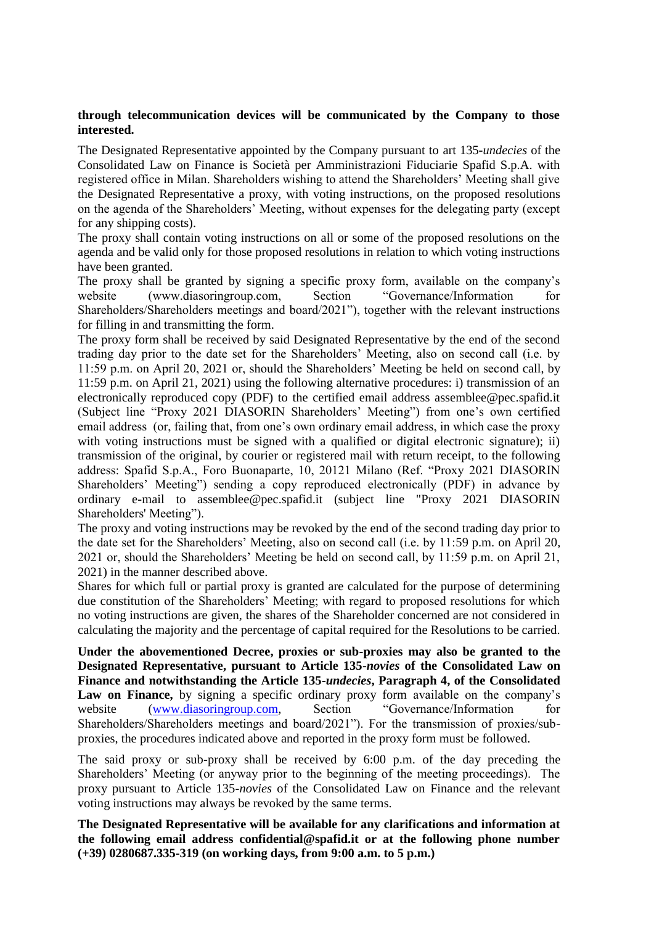## **through telecommunication devices will be communicated by the Company to those interested.**

The Designated Representative appointed by the Company pursuant to art 135-*undecies* of the Consolidated Law on Finance is Società per Amministrazioni Fiduciarie Spafid S.p.A. with registered office in Milan. Shareholders wishing to attend the Shareholders' Meeting shall give the Designated Representative a proxy, with voting instructions, on the proposed resolutions on the agenda of the Shareholders' Meeting, without expenses for the delegating party (except for any shipping costs).

The proxy shall contain voting instructions on all or some of the proposed resolutions on the agenda and be valid only for those proposed resolutions in relation to which voting instructions have been granted.

The proxy shall be granted by signing a specific proxy form, available on the company's website (www.diasoringroup.com, Section "Governance/Information for Shareholders/Shareholders meetings and board/2021"), together with the relevant instructions for filling in and transmitting the form.

The proxy form shall be received by said Designated Representative by the end of the second trading day prior to the date set for the Shareholders' Meeting, also on second call (i.e. by 11:59 p.m. on April 20, 2021 or, should the Shareholders' Meeting be held on second call, by 11:59 p.m. on April 21, 2021) using the following alternative procedures: i) transmission of an electronically reproduced copy (PDF) to the certified email address assemblee@pec.spafid.it (Subject line "Proxy 2021 DIASORIN Shareholders' Meeting") from one's own certified email address (or, failing that, from one's own ordinary email address, in which case the proxy with voting instructions must be signed with a qualified or digital electronic signature); ii) transmission of the original, by courier or registered mail with return receipt, to the following address: Spafid S.p.A., Foro Buonaparte, 10, 20121 Milano (Ref. "Proxy 2021 DIASORIN Shareholders' Meeting") sending a copy reproduced electronically (PDF) in advance by ordinary e-mail to assemblee@pec.spafid.it (subject line "Proxy 2021 DIASORIN Shareholders' Meeting").

The proxy and voting instructions may be revoked by the end of the second trading day prior to the date set for the Shareholders' Meeting, also on second call (i.e. by 11:59 p.m. on April 20, 2021 or, should the Shareholders' Meeting be held on second call, by 11:59 p.m. on April 21, 2021) in the manner described above.

Shares for which full or partial proxy is granted are calculated for the purpose of determining due constitution of the Shareholders' Meeting; with regard to proposed resolutions for which no voting instructions are given, the shares of the Shareholder concerned are not considered in calculating the majority and the percentage of capital required for the Resolutions to be carried.

**Under the abovementioned Decree, proxies or sub-proxies may also be granted to the Designated Representative, pursuant to Article 135-***novies* **of the Consolidated Law on Finance and notwithstanding the Article 135-***undecies***, Paragraph 4, of the Consolidated**  Law on Finance, by signing a specific ordinary proxy form available on the company's website [\(www.diasoringroup.com,](http://www.diasoringroup.com/) Section "Governance/Information for Shareholders/Shareholders meetings and board/2021"). For the transmission of proxies/subproxies, the procedures indicated above and reported in the proxy form must be followed.

The said proxy or sub-proxy shall be received by 6:00 p.m. of the day preceding the Shareholders' Meeting (or anyway prior to the beginning of the meeting proceedings). The proxy pursuant to Article 135-*novies* of the Consolidated Law on Finance and the relevant voting instructions may always be revoked by the same terms.

**The Designated Representative will be available for any clarifications and information at the following email address confidential@spafid.it or at the following phone number (+39) 0280687.335-319 (on working days, from 9:00 a.m. to 5 p.m.)**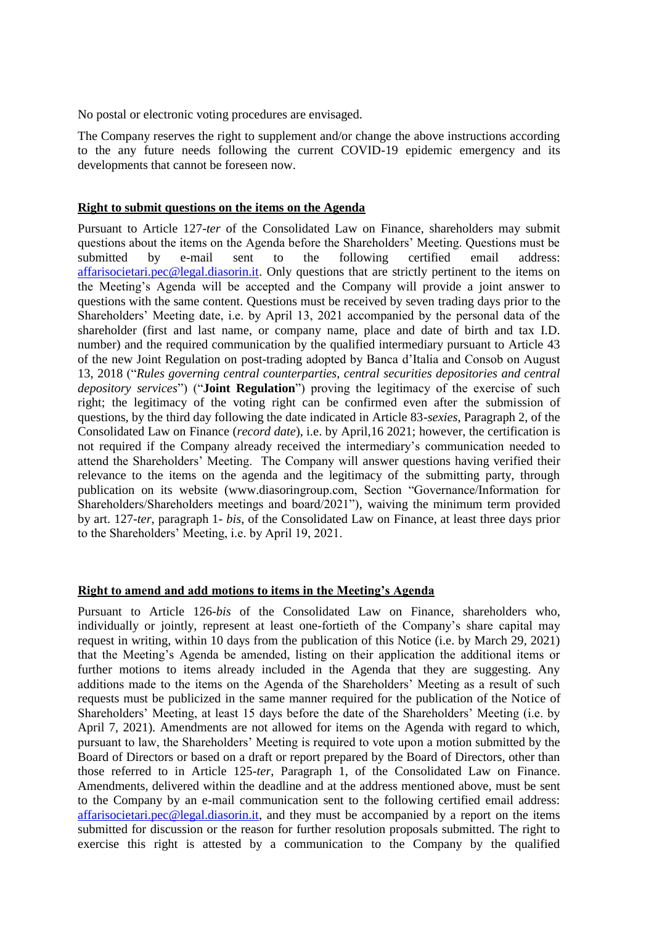No postal or electronic voting procedures are envisaged.

The Company reserves the right to supplement and/or change the above instructions according to the any future needs following the current COVID-19 epidemic emergency and its developments that cannot be foreseen now.

#### **Right to submit questions on the items on the Agenda**

Pursuant to Article 127*-ter* of the Consolidated Law on Finance, shareholders may submit questions about the items on the Agenda before the Shareholders' Meeting. Questions must be submitted by e-mail sent to the following certified email address: [affarisocietari.pec@legal.diasorin.it.](mailto:affarisocietari@diasorin.it) Only questions that are strictly pertinent to the items on the Meeting's Agenda will be accepted and the Company will provide a joint answer to questions with the same content. Questions must be received by seven trading days prior to the Shareholders' Meeting date, i.e. by April 13, 2021 accompanied by the personal data of the shareholder (first and last name, or company name, place and date of birth and tax I.D. number) and the required communication by the qualified intermediary pursuant to Article 43 of the new Joint Regulation on post-trading adopted by Banca d'Italia and Consob on August 13, 2018 ("*Rules governing central counterparties, central securities depositories and central depository services*") ("**Joint Regulation**") proving the legitimacy of the exercise of such right; the legitimacy of the voting right can be confirmed even after the submission of questions, by the third day following the date indicated in Article 83-*sexies*, Paragraph 2, of the Consolidated Law on Finance (*record date*), i.e. by April,16 2021; however, the certification is not required if the Company already received the intermediary's communication needed to attend the Shareholders' Meeting. The Company will answer questions having verified their relevance to the items on the agenda and the legitimacy of the submitting party, through publication on its website (www.diasoringroup.com, Section "Governance/Information for Shareholders/Shareholders meetings and board/2021"), waiving the minimum term provided by art. 127-*ter*, paragraph 1- *bis*, of the Consolidated Law on Finance, at least three days prior to the Shareholders' Meeting, i.e. by April 19, 2021.

#### **Right to amend and add motions to items in the Meeting's Agenda**

Pursuant to Article 126-*bis* of the Consolidated Law on Finance, shareholders who, individually or jointly, represent at least one-fortieth of the Company's share capital may request in writing, within 10 days from the publication of this Notice (i.e. by March 29, 2021) that the Meeting's Agenda be amended, listing on their application the additional items or further motions to items already included in the Agenda that they are suggesting. Any additions made to the items on the Agenda of the Shareholders' Meeting as a result of such requests must be publicized in the same manner required for the publication of the Notice of Shareholders' Meeting, at least 15 days before the date of the Shareholders' Meeting (i.e. by April 7, 2021). Amendments are not allowed for items on the Agenda with regard to which, pursuant to law, the Shareholders' Meeting is required to vote upon a motion submitted by the Board of Directors or based on a draft or report prepared by the Board of Directors, other than those referred to in Article 125-*ter*, Paragraph 1, of the Consolidated Law on Finance. Amendments, delivered within the deadline and at the address mentioned above, must be sent to the Company by an e-mail communication sent to the following certified email address: [affarisocietari.pec@legal.diasorin.it,](mailto:affarisocietari@diasorin.it) and they must be accompanied by a report on the items submitted for discussion or the reason for further resolution proposals submitted. The right to exercise this right is attested by a communication to the Company by the qualified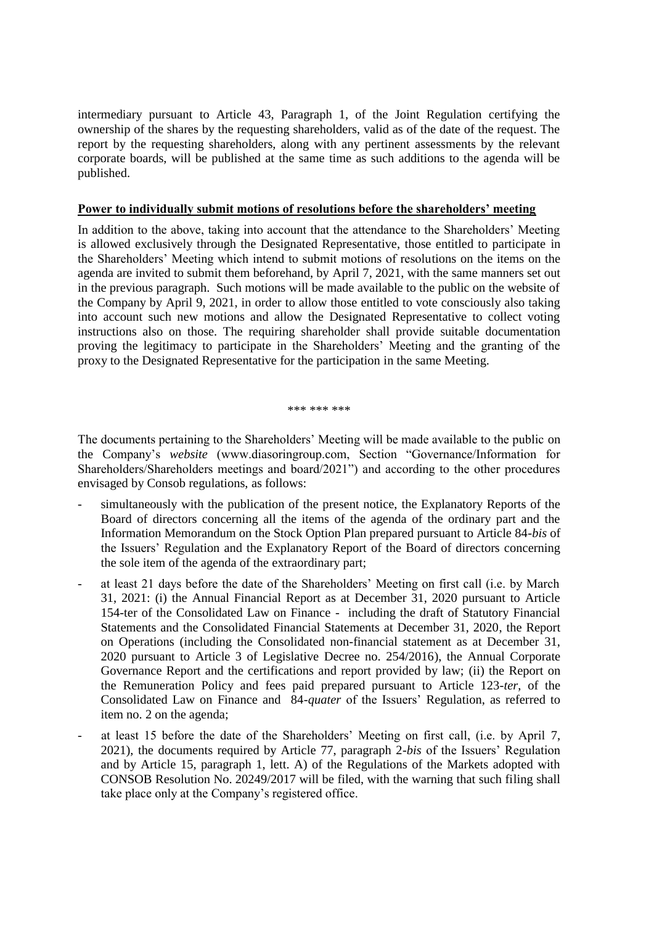intermediary pursuant to Article 43, Paragraph 1, of the Joint Regulation certifying the ownership of the shares by the requesting shareholders, valid as of the date of the request. The report by the requesting shareholders, along with any pertinent assessments by the relevant corporate boards, will be published at the same time as such additions to the agenda will be published.

#### **Power to individually submit motions of resolutions before the shareholders' meeting**

In addition to the above, taking into account that the attendance to the Shareholders' Meeting is allowed exclusively through the Designated Representative, those entitled to participate in the Shareholders' Meeting which intend to submit motions of resolutions on the items on the agenda are invited to submit them beforehand, by April 7, 2021, with the same manners set out in the previous paragraph. Such motions will be made available to the public on the website of the Company by April 9, 2021, in order to allow those entitled to vote consciously also taking into account such new motions and allow the Designated Representative to collect voting instructions also on those. The requiring shareholder shall provide suitable documentation proving the legitimacy to participate in the Shareholders' Meeting and the granting of the proxy to the Designated Representative for the participation in the same Meeting.

\*\*\* \*\*\* \*\*\*

The documents pertaining to the Shareholders' Meeting will be made available to the public on the Company's *website* (www.diasoringroup.com, Section "Governance/Information for Shareholders/Shareholders meetings and board/2021") and according to the other procedures envisaged by Consob regulations, as follows:

- simultaneously with the publication of the present notice, the Explanatory Reports of the Board of directors concerning all the items of the agenda of the ordinary part and the Information Memorandum on the Stock Option Plan prepared pursuant to Article 84-*bis* of the Issuers' Regulation and the Explanatory Report of the Board of directors concerning the sole item of the agenda of the extraordinary part;
- at least 21 days before the date of the Shareholders' Meeting on first call (i.e. by March 31, 2021: (i) the Annual Financial Report as at December 31, 2020 pursuant to Article 154-ter of the Consolidated Law on Finance - including the draft of Statutory Financial Statements and the Consolidated Financial Statements at December 31, 2020, the Report on Operations (including the Consolidated non-financial statement as at December 31, 2020 pursuant to Article 3 of Legislative Decree no. 254/2016), the Annual Corporate Governance Report and the certifications and report provided by law; (ii) the Report on the Remuneration Policy and fees paid prepared pursuant to Article 123-*ter*, of the Consolidated Law on Finance and 84-*quater* of the Issuers' Regulation, as referred to item no. 2 on the agenda;
- at least 15 before the date of the Shareholders' Meeting on first call, (i.e. by April 7, 2021), the documents required by Article 77, paragraph 2-*bis* of the Issuers' Regulation and by Article 15, paragraph 1, lett. A) of the Regulations of the Markets adopted with CONSOB Resolution No. 20249/2017 will be filed, with the warning that such filing shall take place only at the Company's registered office.